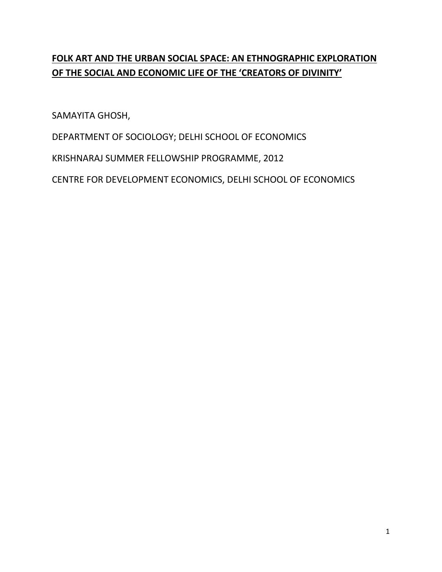# **FOLK ART AND THE URBAN SOCIAL SPACE: AN ETHNOGRAPHIC EXPLORATION OF THE SOCIAL AND ECONOMIC LIFE OF THE 'CREATORS OF DIVINITY'**

SAMAYITA GHOSH,

DEPARTMENT OF SOCIOLOGY; DELHI SCHOOL OF ECONOMICS

KRISHNARAJ SUMMER FELLOWSHIP PROGRAMME, 2012

CENTRE FOR DEVELOPMENT ECONOMICS, DELHI SCHOOL OF ECONOMICS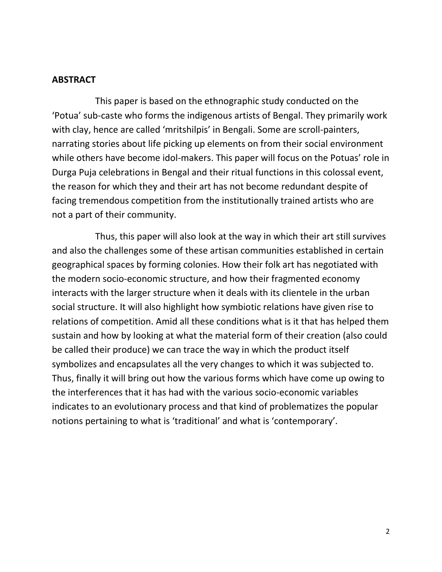### **ABSTRACT**

 This paper is based on the ethnographic study conducted on the 'Potua' sub-caste who forms the indigenous artists of Bengal. They primarily work with clay, hence are called 'mritshilpis' in Bengali. Some are scroll-painters, narrating stories about life picking up elements on from their social environment while others have become idol-makers. This paper will focus on the Potuas' role in Durga Puja celebrations in Bengal and their ritual functions in this colossal event, the reason for which they and their art has not become redundant despite of facing tremendous competition from the institutionally trained artists who are not a part of their community.

 Thus, this paper will also look at the way in which their art still survives and also the challenges some of these artisan communities established in certain geographical spaces by forming colonies. How their folk art has negotiated with the modern socio-economic structure, and how their fragmented economy interacts with the larger structure when it deals with its clientele in the urban social structure. It will also highlight how symbiotic relations have given rise to relations of competition. Amid all these conditions what is it that has helped them sustain and how by looking at what the material form of their creation (also could be called their produce) we can trace the way in which the product itself symbolizes and encapsulates all the very changes to which it was subjected to. Thus, finally it will bring out how the various forms which have come up owing to the interferences that it has had with the various socio-economic variables indicates to an evolutionary process and that kind of problematizes the popular notions pertaining to what is 'traditional' and what is 'contemporary'.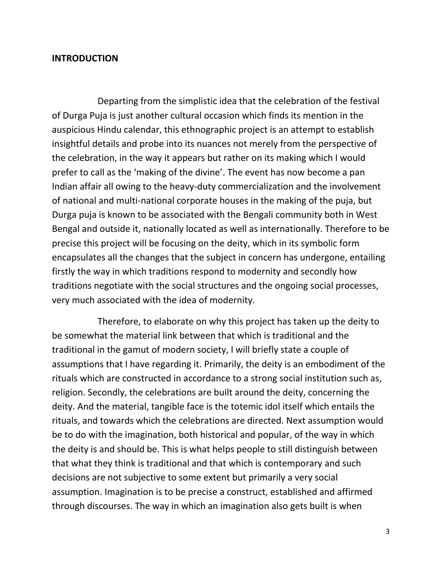#### **INTRODUCTION**

 Departing from the simplistic idea that the celebration of the festival of Durga Puja is just another cultural occasion which finds its mention in the auspicious Hindu calendar, this ethnographic project is an attempt to establish insightful details and probe into its nuances not merely from the perspective of the celebration, in the way it appears but rather on its making which I would prefer to call as the 'making of the divine'. The event has now become a pan Indian affair all owing to the heavy-duty commercialization and the involvement of national and multi-national corporate houses in the making of the puja, but Durga puja is known to be associated with the Bengali community both in West Bengal and outside it, nationally located as well as internationally. Therefore to be precise this project will be focusing on the deity, which in its symbolic form encapsulates all the changes that the subject in concern has undergone, entailing firstly the way in which traditions respond to modernity and secondly how traditions negotiate with the social structures and the ongoing social processes, very much associated with the idea of modernity.

 Therefore, to elaborate on why this project has taken up the deity to be somewhat the material link between that which is traditional and the traditional in the gamut of modern society, I will briefly state a couple of assumptions that I have regarding it. Primarily, the deity is an embodiment of the rituals which are constructed in accordance to a strong social institution such as, religion. Secondly, the celebrations are built around the deity, concerning the deity. And the material, tangible face is the totemic idol itself which entails the rituals, and towards which the celebrations are directed. Next assumption would be to do with the imagination, both historical and popular, of the way in which the deity is and should be. This is what helps people to still distinguish between that what they think is traditional and that which is contemporary and such decisions are not subjective to some extent but primarily a very social assumption. Imagination is to be precise a construct, established and affirmed through discourses. The way in which an imagination also gets built is when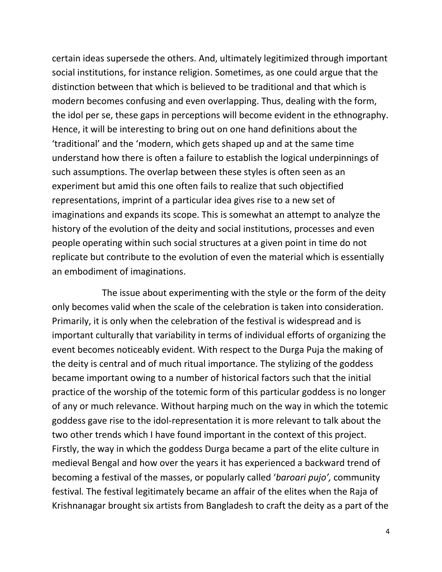certain ideas supersede the others. And, ultimately legitimized through important social institutions, for instance religion. Sometimes, as one could argue that the distinction between that which is believed to be traditional and that which is modern becomes confusing and even overlapping. Thus, dealing with the form, the idol per se, these gaps in perceptions will become evident in the ethnography. Hence, it will be interesting to bring out on one hand definitions about the 'traditional' and the 'modern, which gets shaped up and at the same time understand how there is often a failure to establish the logical underpinnings of such assumptions. The overlap between these styles is often seen as an experiment but amid this one often fails to realize that such objectified representations, imprint of a particular idea gives rise to a new set of imaginations and expands its scope. This is somewhat an attempt to analyze the history of the evolution of the deity and social institutions, processes and even people operating within such social structures at a given point in time do not replicate but contribute to the evolution of even the material which is essentially an embodiment of imaginations.

 The issue about experimenting with the style or the form of the deity only becomes valid when the scale of the celebration is taken into consideration. Primarily, it is only when the celebration of the festival is widespread and is important culturally that variability in terms of individual efforts of organizing the event becomes noticeably evident. With respect to the Durga Puja the making of the deity is central and of much ritual importance. The stylizing of the goddess became important owing to a number of historical factors such that the initial practice of the worship of the totemic form of this particular goddess is no longer of any or much relevance. Without harping much on the way in which the totemic goddess gave rise to the idol-representation it is more relevant to talk about the two other trends which I have found important in the context of this project. Firstly, the way in which the goddess Durga became a part of the elite culture in medieval Bengal and how over the years it has experienced a backward trend of becoming a festival of the masses, or popularly called '*baroari pujo',* community festival*.* The festival legitimately became an affair of the elites when the Raja of Krishnanagar brought six artists from Bangladesh to craft the deity as a part of the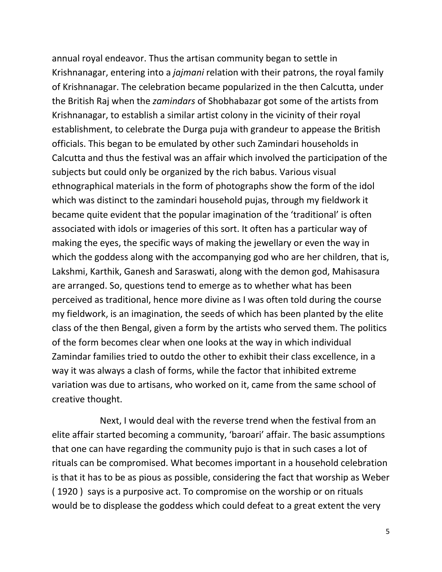annual royal endeavor. Thus the artisan community began to settle in Krishnanagar, entering into a *jajmani* relation with their patrons, the royal family of Krishnanagar. The celebration became popularized in the then Calcutta, under the British Raj when the *zamindars* of Shobhabazar got some of the artists from Krishnanagar, to establish a similar artist colony in the vicinity of their royal establishment, to celebrate the Durga puja with grandeur to appease the British officials. This began to be emulated by other such Zamindari households in Calcutta and thus the festival was an affair which involved the participation of the subjects but could only be organized by the rich babus. Various visual ethnographical materials in the form of photographs show the form of the idol which was distinct to the zamindari household pujas, through my fieldwork it became quite evident that the popular imagination of the 'traditional' is often associated with idols or imageries of this sort. It often has a particular way of making the eyes, the specific ways of making the jewellary or even the way in which the goddess along with the accompanying god who are her children, that is, Lakshmi, Karthik, Ganesh and Saraswati, along with the demon god, Mahisasura are arranged. So, questions tend to emerge as to whether what has been perceived as traditional, hence more divine as I was often told during the course my fieldwork, is an imagination, the seeds of which has been planted by the elite class of the then Bengal, given a form by the artists who served them. The politics of the form becomes clear when one looks at the way in which individual Zamindar families tried to outdo the other to exhibit their class excellence, in a way it was always a clash of forms, while the factor that inhibited extreme variation was due to artisans, who worked on it, came from the same school of creative thought.

 Next, I would deal with the reverse trend when the festival from an elite affair started becoming a community, 'baroari' affair. The basic assumptions that one can have regarding the community pujo is that in such cases a lot of rituals can be compromised. What becomes important in a household celebration is that it has to be as pious as possible, considering the fact that worship as Weber ( 1920 ) says is a purposive act. To compromise on the worship or on rituals would be to displease the goddess which could defeat to a great extent the very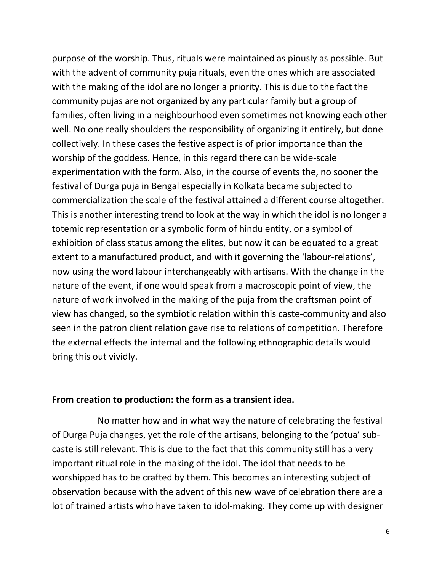purpose of the worship. Thus, rituals were maintained as piously as possible. But with the advent of community puja rituals, even the ones which are associated with the making of the idol are no longer a priority. This is due to the fact the community pujas are not organized by any particular family but a group of families, often living in a neighbourhood even sometimes not knowing each other well. No one really shoulders the responsibility of organizing it entirely, but done collectively. In these cases the festive aspect is of prior importance than the worship of the goddess. Hence, in this regard there can be wide-scale experimentation with the form. Also, in the course of events the, no sooner the festival of Durga puja in Bengal especially in Kolkata became subjected to commercialization the scale of the festival attained a different course altogether. This is another interesting trend to look at the way in which the idol is no longer a totemic representation or a symbolic form of hindu entity, or a symbol of exhibition of class status among the elites, but now it can be equated to a great extent to a manufactured product, and with it governing the 'labour-relations', now using the word labour interchangeably with artisans. With the change in the nature of the event, if one would speak from a macroscopic point of view, the nature of work involved in the making of the puja from the craftsman point of view has changed, so the symbiotic relation within this caste-community and also seen in the patron client relation gave rise to relations of competition. Therefore the external effects the internal and the following ethnographic details would bring this out vividly.

#### **From creation to production: the form as a transient idea.**

 No matter how and in what way the nature of celebrating the festival of Durga Puja changes, yet the role of the artisans, belonging to the 'potua' subcaste is still relevant. This is due to the fact that this community still has a very important ritual role in the making of the idol. The idol that needs to be worshipped has to be crafted by them. This becomes an interesting subject of observation because with the advent of this new wave of celebration there are a lot of trained artists who have taken to idol-making. They come up with designer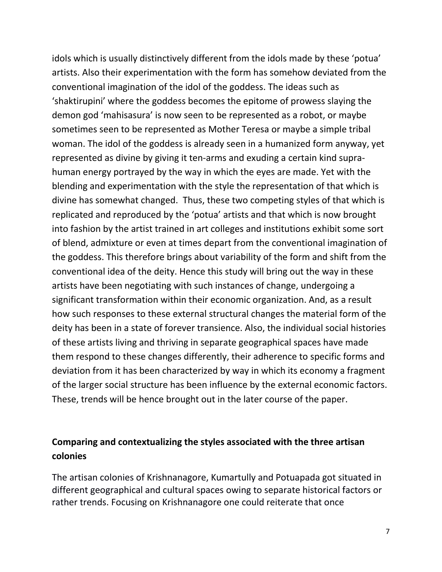idols which is usually distinctively different from the idols made by these 'potua' artists. Also their experimentation with the form has somehow deviated from the conventional imagination of the idol of the goddess. The ideas such as 'shaktirupini' where the goddess becomes the epitome of prowess slaying the demon god 'mahisasura' is now seen to be represented as a robot, or maybe sometimes seen to be represented as Mother Teresa or maybe a simple tribal woman. The idol of the goddess is already seen in a humanized form anyway, yet represented as divine by giving it ten-arms and exuding a certain kind suprahuman energy portrayed by the way in which the eyes are made. Yet with the blending and experimentation with the style the representation of that which is divine has somewhat changed. Thus, these two competing styles of that which is replicated and reproduced by the 'potua' artists and that which is now brought into fashion by the artist trained in art colleges and institutions exhibit some sort of blend, admixture or even at times depart from the conventional imagination of the goddess. This therefore brings about variability of the form and shift from the conventional idea of the deity. Hence this study will bring out the way in these artists have been negotiating with such instances of change, undergoing a significant transformation within their economic organization. And, as a result how such responses to these external structural changes the material form of the deity has been in a state of forever transience. Also, the individual social histories of these artists living and thriving in separate geographical spaces have made them respond to these changes differently, their adherence to specific forms and deviation from it has been characterized by way in which its economy a fragment of the larger social structure has been influence by the external economic factors. These, trends will be hence brought out in the later course of the paper.

## **Comparing and contextualizing the styles associated with the three artisan colonies**

The artisan colonies of Krishnanagore, Kumartully and Potuapada got situated in different geographical and cultural spaces owing to separate historical factors or rather trends. Focusing on Krishnanagore one could reiterate that once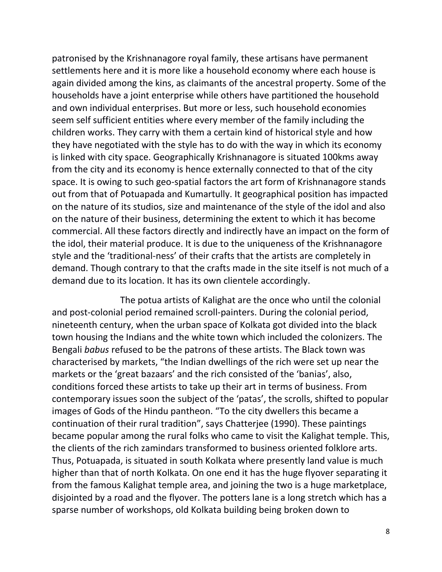patronised by the Krishnanagore royal family, these artisans have permanent settlements here and it is more like a household economy where each house is again divided among the kins, as claimants of the ancestral property. Some of the households have a joint enterprise while others have partitioned the household and own individual enterprises. But more or less, such household economies seem self sufficient entities where every member of the family including the children works. They carry with them a certain kind of historical style and how they have negotiated with the style has to do with the way in which its economy is linked with city space. Geographically Krishnanagore is situated 100kms away from the city and its economy is hence externally connected to that of the city space. It is owing to such geo-spatial factors the art form of Krishnanagore stands out from that of Potuapada and Kumartully. It geographical position has impacted on the nature of its studios, size and maintenance of the style of the idol and also on the nature of their business, determining the extent to which it has become commercial. All these factors directly and indirectly have an impact on the form of the idol, their material produce. It is due to the uniqueness of the Krishnanagore style and the 'traditional-ness' of their crafts that the artists are completely in demand. Though contrary to that the crafts made in the site itself is not much of a demand due to its location. It has its own clientele accordingly.

 The potua artists of Kalighat are the once who until the colonial and post-colonial period remained scroll-painters. During the colonial period, nineteenth century, when the urban space of Kolkata got divided into the black town housing the Indians and the white town which included the colonizers. The Bengali *babus* refused to be the patrons of these artists. The Black town was characterised by markets, "the Indian dwellings of the rich were set up near the markets or the 'great bazaars' and the rich consisted of the 'banias', also, conditions forced these artists to take up their art in terms of business. From contemporary issues soon the subject of the 'patas', the scrolls, shifted to popular images of Gods of the Hindu pantheon. "To the city dwellers this became a continuation of their rural tradition", says Chatterjee (1990). These paintings became popular among the rural folks who came to visit the Kalighat temple. This, the clients of the rich zamindars transformed to business oriented folklore arts. Thus, Potuapada, is situated in south Kolkata where presently land value is much higher than that of north Kolkata. On one end it has the huge flyover separating it from the famous Kalighat temple area, and joining the two is a huge marketplace, disjointed by a road and the flyover. The potters lane is a long stretch which has a sparse number of workshops, old Kolkata building being broken down to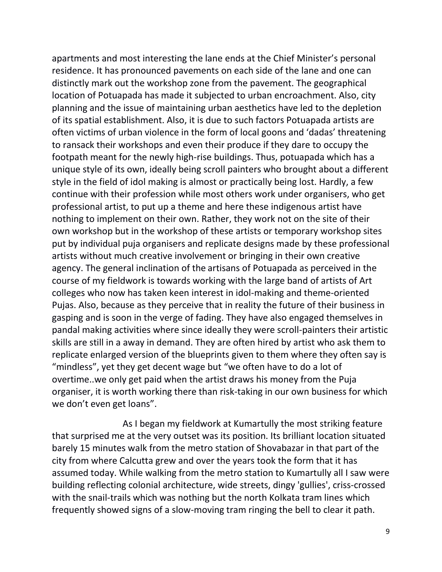apartments and most interesting the lane ends at the Chief Minister's personal residence. It has pronounced pavements on each side of the lane and one can distinctly mark out the workshop zone from the pavement. The geographical location of Potuapada has made it subjected to urban encroachment. Also, city planning and the issue of maintaining urban aesthetics have led to the depletion of its spatial establishment. Also, it is due to such factors Potuapada artists are often victims of urban violence in the form of local goons and 'dadas' threatening to ransack their workshops and even their produce if they dare to occupy the footpath meant for the newly high-rise buildings. Thus, potuapada which has a unique style of its own, ideally being scroll painters who brought about a different style in the field of idol making is almost or practically being lost. Hardly, a few continue with their profession while most others work under organisers, who get professional artist, to put up a theme and here these indigenous artist have nothing to implement on their own. Rather, they work not on the site of their own workshop but in the workshop of these artists or temporary workshop sites put by individual puja organisers and replicate designs made by these professional artists without much creative involvement or bringing in their own creative agency. The general inclination of the artisans of Potuapada as perceived in the course of my fieldwork is towards working with the large band of artists of Art colleges who now has taken keen interest in idol-making and theme-oriented Pujas. Also, because as they perceive that in reality the future of their business in gasping and is soon in the verge of fading. They have also engaged themselves in pandal making activities where since ideally they were scroll-painters their artistic skills are still in a away in demand. They are often hired by artist who ask them to replicate enlarged version of the blueprints given to them where they often say is "mindless", yet they get decent wage but "we often have to do a lot of overtime..we only get paid when the artist draws his money from the Puja organiser, it is worth working there than risk-taking in our own business for which we don't even get loans".

 As I began my fieldwork at Kumartully the most striking feature that surprised me at the very outset was its position. Its brilliant location situated barely 15 minutes walk from the metro station of Shovabazar in that part of the city from where Calcutta grew and over the years took the form that it has assumed today. While walking from the metro station to Kumartully all I saw were building reflecting colonial architecture, wide streets, dingy 'gullies', criss-crossed with the snail-trails which was nothing but the north Kolkata tram lines which frequently showed signs of a slow-moving tram ringing the bell to clear it path.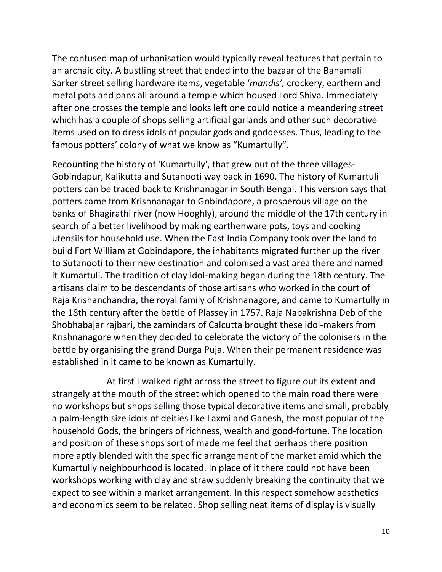The confused map of urbanisation would typically reveal features that pertain to an archaic city. A bustling street that ended into the bazaar of the Banamali Sarker street selling hardware items, vegetable '*mandis',* crockery, earthern and metal pots and pans all around a temple which housed Lord Shiva. Immediately after one crosses the temple and looks left one could notice a meandering street which has a couple of shops selling artificial garlands and other such decorative items used on to dress idols of popular gods and goddesses. Thus, leading to the famous potters' colony of what we know as "Kumartully".

Recounting the history of 'Kumartully', that grew out of the three villages-Gobindapur, Kalikutta and Sutanooti way back in 1690. The history of Kumartuli potters can be traced back to Krishnanagar in South Bengal. This version says that potters came from Krishnanagar to Gobindapore, a prosperous village on the banks of Bhagirathi river (now Hooghly), around the middle of the 17th century in search of a better livelihood by making earthenware pots, toys and cooking utensils for household use. When the East India Company took over the land to build Fort William at Gobindapore, the inhabitants migrated further up the river to Sutanooti to their new destination and colonised a vast area there and named it Kumartuli. The tradition of clay idol-making began during the 18th century. The artisans claim to be descendants of those artisans who worked in the court of Raja Krishanchandra, the royal family of Krishnanagore, and came to Kumartully in the 18th century after the battle of Plassey in 1757. Raja Nabakrishna Deb of the Shobhabajar rajbari, the zamindars of Calcutta brought these idol-makers from Krishnanagore when they decided to celebrate the victory of the colonisers in the battle by organising the grand Durga Puja. When their permanent residence was established in it came to be known as Kumartully.

 At first I walked right across the street to figure out its extent and strangely at the mouth of the street which opened to the main road there were no workshops but shops selling those typical decorative items and small, probably a palm-length size idols of deities like Laxmi and Ganesh, the most popular of the household Gods, the bringers of richness, wealth and good-fortune. The location and position of these shops sort of made me feel that perhaps there position more aptly blended with the specific arrangement of the market amid which the Kumartully neighbourhood is located. In place of it there could not have been workshops working with clay and straw suddenly breaking the continuity that we expect to see within a market arrangement. In this respect somehow aesthetics and economics seem to be related. Shop selling neat items of display is visually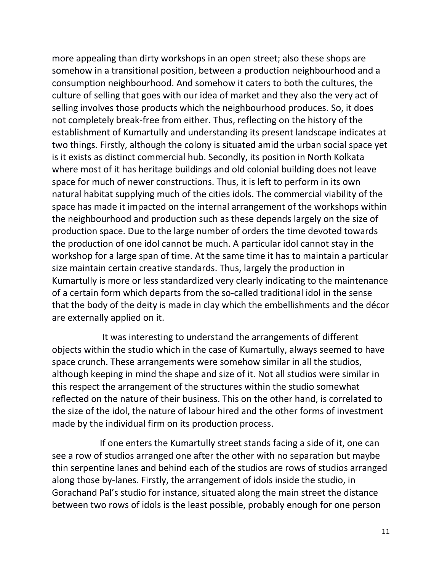more appealing than dirty workshops in an open street; also these shops are somehow in a transitional position, between a production neighbourhood and a consumption neighbourhood. And somehow it caters to both the cultures, the culture of selling that goes with our idea of market and they also the very act of selling involves those products which the neighbourhood produces. So, it does not completely break-free from either. Thus, reflecting on the history of the establishment of Kumartully and understanding its present landscape indicates at two things. Firstly, although the colony is situated amid the urban social space yet is it exists as distinct commercial hub. Secondly, its position in North Kolkata where most of it has heritage buildings and old colonial building does not leave space for much of newer constructions. Thus, it is left to perform in its own natural habitat supplying much of the cities idols. The commercial viability of the space has made it impacted on the internal arrangement of the workshops within the neighbourhood and production such as these depends largely on the size of production space. Due to the large number of orders the time devoted towards the production of one idol cannot be much. A particular idol cannot stay in the workshop for a large span of time. At the same time it has to maintain a particular size maintain certain creative standards. Thus, largely the production in Kumartully is more or less standardized very clearly indicating to the maintenance of a certain form which departs from the so-called traditional idol in the sense that the body of the deity is made in clay which the embellishments and the décor are externally applied on it.

 It was interesting to understand the arrangements of different objects within the studio which in the case of Kumartully, always seemed to have space crunch. These arrangements were somehow similar in all the studios, although keeping in mind the shape and size of it. Not all studios were similar in this respect the arrangement of the structures within the studio somewhat reflected on the nature of their business. This on the other hand, is correlated to the size of the idol, the nature of labour hired and the other forms of investment made by the individual firm on its production process.

If one enters the Kumartully street stands facing a side of it, one can see a row of studios arranged one after the other with no separation but maybe thin serpentine lanes and behind each of the studios are rows of studios arranged along those by-lanes. Firstly, the arrangement of idols inside the studio, in Gorachand Pal's studio for instance, situated along the main street the distance between two rows of idols is the least possible, probably enough for one person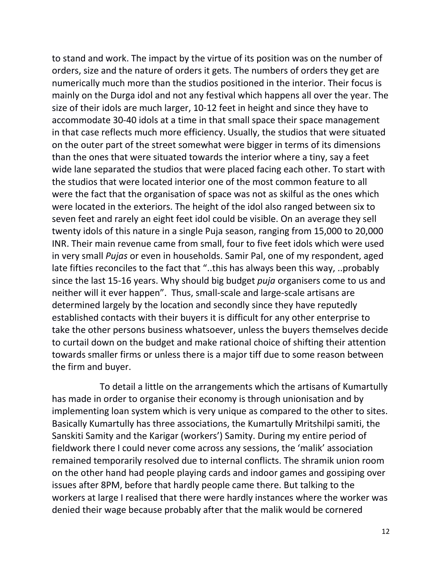to stand and work. The impact by the virtue of its position was on the number of orders, size and the nature of orders it gets. The numbers of orders they get are numerically much more than the studios positioned in the interior. Their focus is mainly on the Durga idol and not any festival which happens all over the year. The size of their idols are much larger, 10-12 feet in height and since they have to accommodate 30-40 idols at a time in that small space their space management in that case reflects much more efficiency. Usually, the studios that were situated on the outer part of the street somewhat were bigger in terms of its dimensions than the ones that were situated towards the interior where a tiny, say a feet wide lane separated the studios that were placed facing each other. To start with the studios that were located interior one of the most common feature to all were the fact that the organisation of space was not as skilful as the ones which were located in the exteriors. The height of the idol also ranged between six to seven feet and rarely an eight feet idol could be visible. On an average they sell twenty idols of this nature in a single Puja season, ranging from 15,000 to 20,000 INR. Their main revenue came from small, four to five feet idols which were used in very small *Pujas* or even in households. Samir Pal, one of my respondent, aged late fifties reconciles to the fact that "..this has always been this way, ..probably since the last 15-16 years. Why should big budget *puja* organisers come to us and neither will it ever happen". Thus, small-scale and large-scale artisans are determined largely by the location and secondly since they have reputedly established contacts with their buyers it is difficult for any other enterprise to take the other persons business whatsoever, unless the buyers themselves decide to curtail down on the budget and make rational choice of shifting their attention towards smaller firms or unless there is a major tiff due to some reason between the firm and buyer.

 To detail a little on the arrangements which the artisans of Kumartully has made in order to organise their economy is through unionisation and by implementing loan system which is very unique as compared to the other to sites. Basically Kumartully has three associations, the Kumartully Mritshilpi samiti, the Sanskiti Samity and the Karigar (workers') Samity. During my entire period of fieldwork there I could never come across any sessions, the 'malik' association remained temporarily resolved due to internal conflicts. The shramik union room on the other hand had people playing cards and indoor games and gossiping over issues after 8PM, before that hardly people came there. But talking to the workers at large I realised that there were hardly instances where the worker was denied their wage because probably after that the malik would be cornered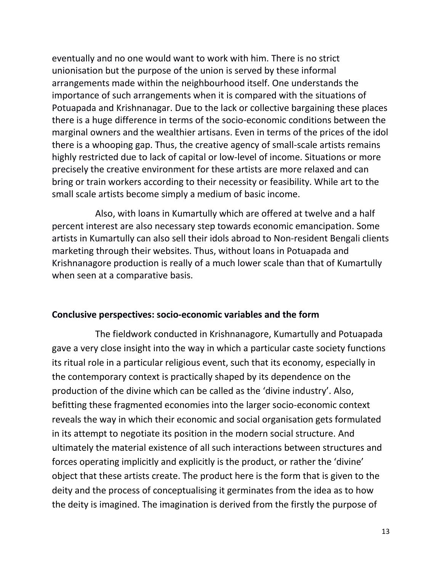eventually and no one would want to work with him. There is no strict unionisation but the purpose of the union is served by these informal arrangements made within the neighbourhood itself. One understands the importance of such arrangements when it is compared with the situations of Potuapada and Krishnanagar. Due to the lack or collective bargaining these places there is a huge difference in terms of the socio-economic conditions between the marginal owners and the wealthier artisans. Even in terms of the prices of the idol there is a whooping gap. Thus, the creative agency of small-scale artists remains highly restricted due to lack of capital or low-level of income. Situations or more precisely the creative environment for these artists are more relaxed and can bring or train workers according to their necessity or feasibility. While art to the small scale artists become simply a medium of basic income.

 Also, with loans in Kumartully which are offered at twelve and a half percent interest are also necessary step towards economic emancipation. Some artists in Kumartully can also sell their idols abroad to Non-resident Bengali clients marketing through their websites. Thus, without loans in Potuapada and Krishnanagore production is really of a much lower scale than that of Kumartully when seen at a comparative basis.

#### **Conclusive perspectives: socio-economic variables and the form**

 The fieldwork conducted in Krishnanagore, Kumartully and Potuapada gave a very close insight into the way in which a particular caste society functions its ritual role in a particular religious event, such that its economy, especially in the contemporary context is practically shaped by its dependence on the production of the divine which can be called as the 'divine industry'. Also, befitting these fragmented economies into the larger socio-economic context reveals the way in which their economic and social organisation gets formulated in its attempt to negotiate its position in the modern social structure. And ultimately the material existence of all such interactions between structures and forces operating implicitly and explicitly is the product, or rather the 'divine' object that these artists create. The product here is the form that is given to the deity and the process of conceptualising it germinates from the idea as to how the deity is imagined. The imagination is derived from the firstly the purpose of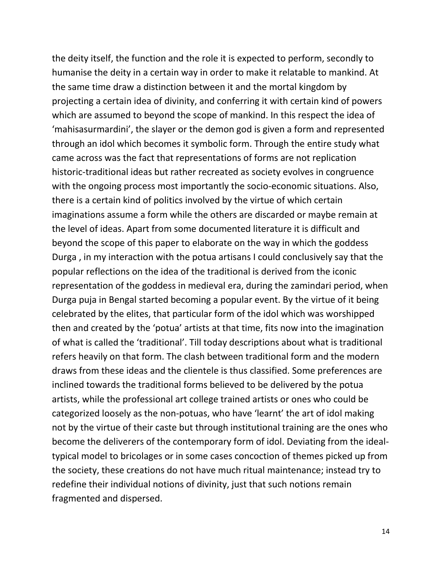the deity itself, the function and the role it is expected to perform, secondly to humanise the deity in a certain way in order to make it relatable to mankind. At the same time draw a distinction between it and the mortal kingdom by projecting a certain idea of divinity, and conferring it with certain kind of powers which are assumed to beyond the scope of mankind. In this respect the idea of 'mahisasurmardini', the slayer or the demon god is given a form and represented through an idol which becomes it symbolic form. Through the entire study what came across was the fact that representations of forms are not replication historic-traditional ideas but rather recreated as society evolves in congruence with the ongoing process most importantly the socio-economic situations. Also, there is a certain kind of politics involved by the virtue of which certain imaginations assume a form while the others are discarded or maybe remain at the level of ideas. Apart from some documented literature it is difficult and beyond the scope of this paper to elaborate on the way in which the goddess Durga , in my interaction with the potua artisans I could conclusively say that the popular reflections on the idea of the traditional is derived from the iconic representation of the goddess in medieval era, during the zamindari period, when Durga puja in Bengal started becoming a popular event. By the virtue of it being celebrated by the elites, that particular form of the idol which was worshipped then and created by the 'potua' artists at that time, fits now into the imagination of what is called the 'traditional'. Till today descriptions about what is traditional refers heavily on that form. The clash between traditional form and the modern draws from these ideas and the clientele is thus classified. Some preferences are inclined towards the traditional forms believed to be delivered by the potua artists, while the professional art college trained artists or ones who could be categorized loosely as the non-potuas, who have 'learnt' the art of idol making not by the virtue of their caste but through institutional training are the ones who become the deliverers of the contemporary form of idol. Deviating from the idealtypical model to bricolages or in some cases concoction of themes picked up from the society, these creations do not have much ritual maintenance; instead try to redefine their individual notions of divinity, just that such notions remain fragmented and dispersed.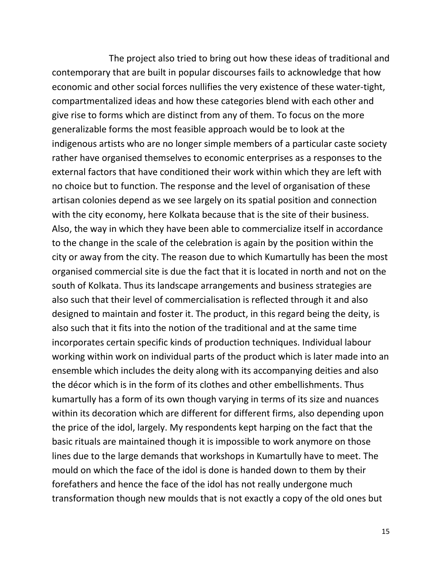The project also tried to bring out how these ideas of traditional and contemporary that are built in popular discourses fails to acknowledge that how economic and other social forces nullifies the very existence of these water-tight, compartmentalized ideas and how these categories blend with each other and give rise to forms which are distinct from any of them. To focus on the more generalizable forms the most feasible approach would be to look at the indigenous artists who are no longer simple members of a particular caste society rather have organised themselves to economic enterprises as a responses to the external factors that have conditioned their work within which they are left with no choice but to function. The response and the level of organisation of these artisan colonies depend as we see largely on its spatial position and connection with the city economy, here Kolkata because that is the site of their business. Also, the way in which they have been able to commercialize itself in accordance to the change in the scale of the celebration is again by the position within the city or away from the city. The reason due to which Kumartully has been the most organised commercial site is due the fact that it is located in north and not on the south of Kolkata. Thus its landscape arrangements and business strategies are also such that their level of commercialisation is reflected through it and also designed to maintain and foster it. The product, in this regard being the deity, is also such that it fits into the notion of the traditional and at the same time incorporates certain specific kinds of production techniques. Individual labour working within work on individual parts of the product which is later made into an ensemble which includes the deity along with its accompanying deities and also the décor which is in the form of its clothes and other embellishments. Thus kumartully has a form of its own though varying in terms of its size and nuances within its decoration which are different for different firms, also depending upon the price of the idol, largely. My respondents kept harping on the fact that the basic rituals are maintained though it is impossible to work anymore on those lines due to the large demands that workshops in Kumartully have to meet. The mould on which the face of the idol is done is handed down to them by their forefathers and hence the face of the idol has not really undergone much transformation though new moulds that is not exactly a copy of the old ones but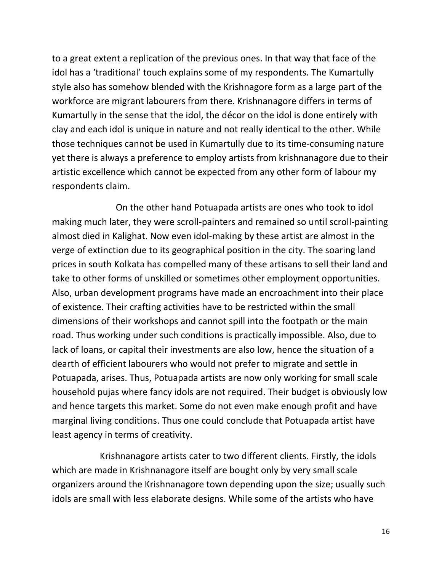to a great extent a replication of the previous ones. In that way that face of the idol has a 'traditional' touch explains some of my respondents. The Kumartully style also has somehow blended with the Krishnagore form as a large part of the workforce are migrant labourers from there. Krishnanagore differs in terms of Kumartully in the sense that the idol, the décor on the idol is done entirely with clay and each idol is unique in nature and not really identical to the other. While those techniques cannot be used in Kumartully due to its time-consuming nature yet there is always a preference to employ artists from krishnanagore due to their artistic excellence which cannot be expected from any other form of labour my respondents claim.

 On the other hand Potuapada artists are ones who took to idol making much later, they were scroll-painters and remained so until scroll-painting almost died in Kalighat. Now even idol-making by these artist are almost in the verge of extinction due to its geographical position in the city. The soaring land prices in south Kolkata has compelled many of these artisans to sell their land and take to other forms of unskilled or sometimes other employment opportunities. Also, urban development programs have made an encroachment into their place of existence. Their crafting activities have to be restricted within the small dimensions of their workshops and cannot spill into the footpath or the main road. Thus working under such conditions is practically impossible. Also, due to lack of loans, or capital their investments are also low, hence the situation of a dearth of efficient labourers who would not prefer to migrate and settle in Potuapada, arises. Thus, Potuapada artists are now only working for small scale household pujas where fancy idols are not required. Their budget is obviously low and hence targets this market. Some do not even make enough profit and have marginal living conditions. Thus one could conclude that Potuapada artist have least agency in terms of creativity.

 Krishnanagore artists cater to two different clients. Firstly, the idols which are made in Krishnanagore itself are bought only by very small scale organizers around the Krishnanagore town depending upon the size; usually such idols are small with less elaborate designs. While some of the artists who have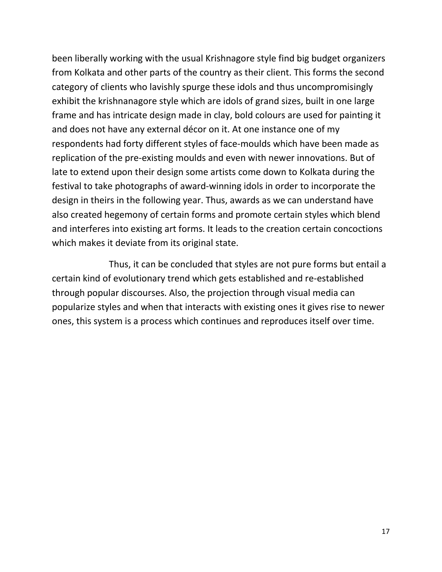been liberally working with the usual Krishnagore style find big budget organizers from Kolkata and other parts of the country as their client. This forms the second category of clients who lavishly spurge these idols and thus uncompromisingly exhibit the krishnanagore style which are idols of grand sizes, built in one large frame and has intricate design made in clay, bold colours are used for painting it and does not have any external décor on it. At one instance one of my respondents had forty different styles of face-moulds which have been made as replication of the pre-existing moulds and even with newer innovations. But of late to extend upon their design some artists come down to Kolkata during the festival to take photographs of award-winning idols in order to incorporate the design in theirs in the following year. Thus, awards as we can understand have also created hegemony of certain forms and promote certain styles which blend and interferes into existing art forms. It leads to the creation certain concoctions which makes it deviate from its original state.

 Thus, it can be concluded that styles are not pure forms but entail a certain kind of evolutionary trend which gets established and re-established through popular discourses. Also, the projection through visual media can popularize styles and when that interacts with existing ones it gives rise to newer ones, this system is a process which continues and reproduces itself over time.